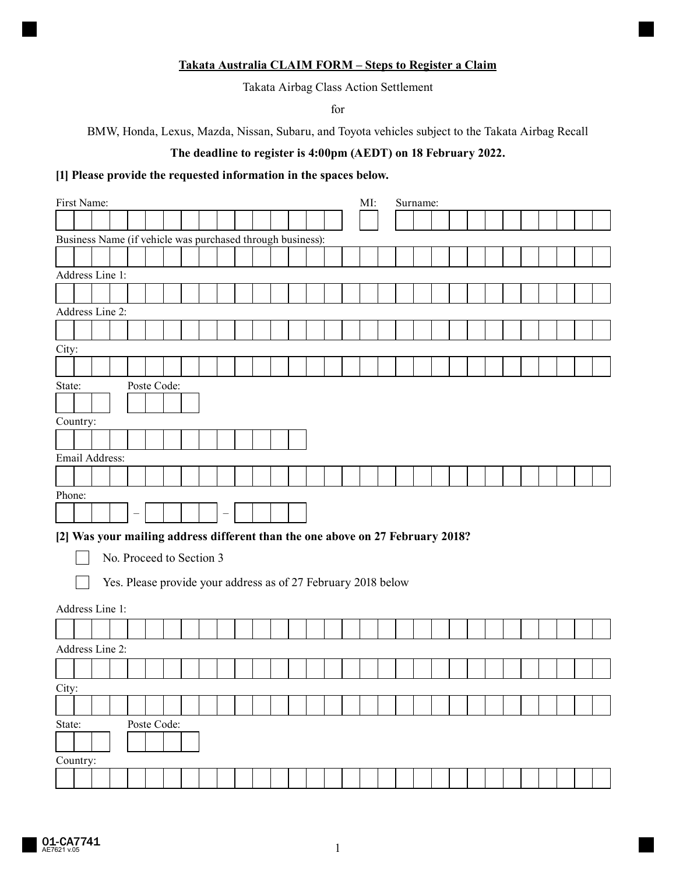#### **Takata Australia CLAIM FORM – Steps to Register a Claim**

Takata Airbag Class Action Settlement

for

BMW, Honda, Lexus, Mazda, Nissan, Subaru, and Toyota vehicles subject to the Takata Airbag Recall

# **The deadline to register is 4:00pm (AEDT) on 18 February 2022.**

### **[1] Please provide the requested information in the spaces below.**

|        |          | First Name:    |                                                                                |             |  |  |  |  |  | MI: |  | Surname: |  |  |  |  |  |
|--------|----------|----------------|--------------------------------------------------------------------------------|-------------|--|--|--|--|--|-----|--|----------|--|--|--|--|--|
|        |          |                |                                                                                |             |  |  |  |  |  |     |  |          |  |  |  |  |  |
|        |          |                | Business Name (if vehicle was purchased through business):                     |             |  |  |  |  |  |     |  |          |  |  |  |  |  |
|        |          |                |                                                                                |             |  |  |  |  |  |     |  |          |  |  |  |  |  |
|        |          |                | Address Line 1:                                                                |             |  |  |  |  |  |     |  |          |  |  |  |  |  |
|        |          |                |                                                                                |             |  |  |  |  |  |     |  |          |  |  |  |  |  |
|        |          |                | Address Line 2:                                                                |             |  |  |  |  |  |     |  |          |  |  |  |  |  |
|        |          |                |                                                                                |             |  |  |  |  |  |     |  |          |  |  |  |  |  |
|        |          |                |                                                                                |             |  |  |  |  |  |     |  |          |  |  |  |  |  |
| City:  |          |                |                                                                                |             |  |  |  |  |  |     |  |          |  |  |  |  |  |
|        |          |                |                                                                                |             |  |  |  |  |  |     |  |          |  |  |  |  |  |
| State: |          |                |                                                                                | Poste Code: |  |  |  |  |  |     |  |          |  |  |  |  |  |
|        |          |                |                                                                                |             |  |  |  |  |  |     |  |          |  |  |  |  |  |
|        | Country: |                |                                                                                |             |  |  |  |  |  |     |  |          |  |  |  |  |  |
|        |          |                |                                                                                |             |  |  |  |  |  |     |  |          |  |  |  |  |  |
|        |          | Email Address: |                                                                                |             |  |  |  |  |  |     |  |          |  |  |  |  |  |
|        |          |                |                                                                                |             |  |  |  |  |  |     |  |          |  |  |  |  |  |
| Phone: |          |                |                                                                                |             |  |  |  |  |  |     |  |          |  |  |  |  |  |
|        |          |                |                                                                                |             |  |  |  |  |  |     |  |          |  |  |  |  |  |
|        |          |                | [2] Was your mailing address different than the one above on 27 February 2018? |             |  |  |  |  |  |     |  |          |  |  |  |  |  |
|        |          |                |                                                                                |             |  |  |  |  |  |     |  |          |  |  |  |  |  |
|        |          |                | No. Proceed to Section 3                                                       |             |  |  |  |  |  |     |  |          |  |  |  |  |  |
|        |          |                | Yes. Please provide your address as of 27 February 2018 below                  |             |  |  |  |  |  |     |  |          |  |  |  |  |  |
|        |          |                |                                                                                |             |  |  |  |  |  |     |  |          |  |  |  |  |  |
|        |          |                | Address Line 1:                                                                |             |  |  |  |  |  |     |  |          |  |  |  |  |  |
|        |          |                |                                                                                |             |  |  |  |  |  |     |  |          |  |  |  |  |  |
|        |          |                | Address Line 2:                                                                |             |  |  |  |  |  |     |  |          |  |  |  |  |  |
|        |          |                |                                                                                |             |  |  |  |  |  |     |  |          |  |  |  |  |  |
| City:  |          |                |                                                                                |             |  |  |  |  |  |     |  |          |  |  |  |  |  |
|        |          |                |                                                                                |             |  |  |  |  |  |     |  |          |  |  |  |  |  |
| State: |          |                |                                                                                | Poste Code: |  |  |  |  |  |     |  |          |  |  |  |  |  |
|        |          |                |                                                                                |             |  |  |  |  |  |     |  |          |  |  |  |  |  |
|        | Country: |                |                                                                                |             |  |  |  |  |  |     |  |          |  |  |  |  |  |
|        |          |                |                                                                                |             |  |  |  |  |  |     |  |          |  |  |  |  |  |
|        |          |                |                                                                                |             |  |  |  |  |  |     |  |          |  |  |  |  |  |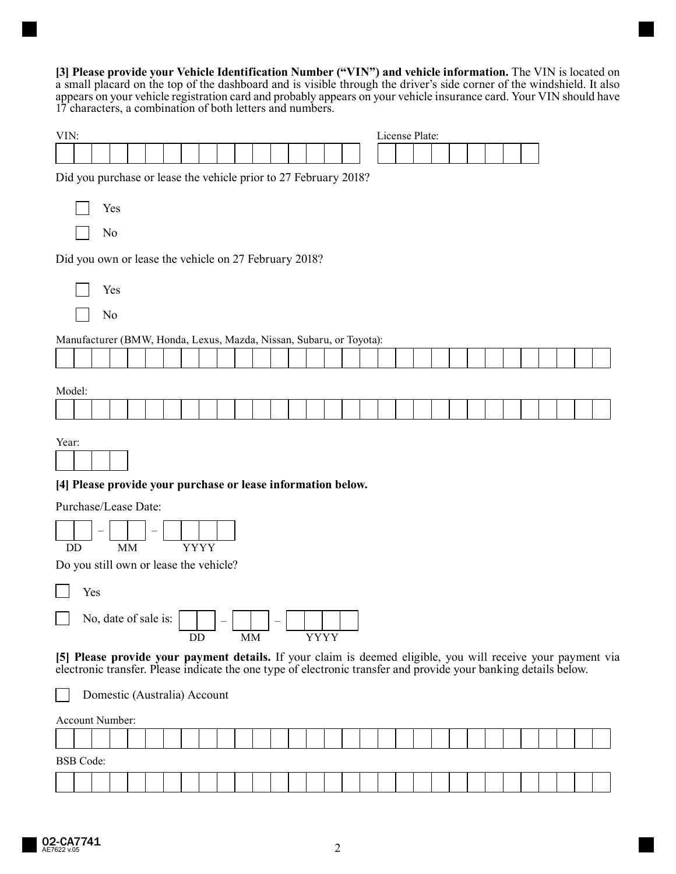**[3] Please provide your Vehicle Identification Number ("VIN") and vehicle information.** The VIN is located on a small placard on the top of the dashboard and is visible through the driver's side corner of the windshield. It also appears on your vehicle registration card and probably appears on your vehicle insurance card. Your VIN should have 17 characters, a combination of both letters and numbers.

| VIN:   |    |                  |                      |  |  |             |                                                                                                                                                                                                                                  |    |  |             |  |  | License Plate: |  |  |  |  |  |  |
|--------|----|------------------|----------------------|--|--|-------------|----------------------------------------------------------------------------------------------------------------------------------------------------------------------------------------------------------------------------------|----|--|-------------|--|--|----------------|--|--|--|--|--|--|
|        |    |                  |                      |  |  |             |                                                                                                                                                                                                                                  |    |  |             |  |  |                |  |  |  |  |  |  |
|        |    |                  |                      |  |  |             | Did you purchase or lease the vehicle prior to 27 February 2018?                                                                                                                                                                 |    |  |             |  |  |                |  |  |  |  |  |  |
|        |    |                  | Yes                  |  |  |             |                                                                                                                                                                                                                                  |    |  |             |  |  |                |  |  |  |  |  |  |
|        |    |                  | No                   |  |  |             |                                                                                                                                                                                                                                  |    |  |             |  |  |                |  |  |  |  |  |  |
|        |    |                  |                      |  |  |             | Did you own or lease the vehicle on 27 February 2018?                                                                                                                                                                            |    |  |             |  |  |                |  |  |  |  |  |  |
|        |    |                  | Yes                  |  |  |             |                                                                                                                                                                                                                                  |    |  |             |  |  |                |  |  |  |  |  |  |
|        |    |                  | No                   |  |  |             |                                                                                                                                                                                                                                  |    |  |             |  |  |                |  |  |  |  |  |  |
|        |    |                  |                      |  |  |             | Manufacturer (BMW, Honda, Lexus, Mazda, Nissan, Subaru, or Toyota):                                                                                                                                                              |    |  |             |  |  |                |  |  |  |  |  |  |
|        |    |                  |                      |  |  |             |                                                                                                                                                                                                                                  |    |  |             |  |  |                |  |  |  |  |  |  |
| Model: |    |                  |                      |  |  |             |                                                                                                                                                                                                                                  |    |  |             |  |  |                |  |  |  |  |  |  |
|        |    |                  |                      |  |  |             |                                                                                                                                                                                                                                  |    |  |             |  |  |                |  |  |  |  |  |  |
| Year:  |    |                  |                      |  |  |             | [4] Please provide your purchase or lease information below.                                                                                                                                                                     |    |  |             |  |  |                |  |  |  |  |  |  |
|        |    |                  | Purchase/Lease Date: |  |  |             |                                                                                                                                                                                                                                  |    |  |             |  |  |                |  |  |  |  |  |  |
|        | DD |                  | <b>MM</b>            |  |  | <b>YYYY</b> |                                                                                                                                                                                                                                  |    |  |             |  |  |                |  |  |  |  |  |  |
|        |    |                  |                      |  |  |             | Do you still own or lease the vehicle?                                                                                                                                                                                           |    |  |             |  |  |                |  |  |  |  |  |  |
|        |    | Yes              |                      |  |  |             |                                                                                                                                                                                                                                  |    |  |             |  |  |                |  |  |  |  |  |  |
|        |    |                  | No, date of sale is: |  |  | DD          |                                                                                                                                                                                                                                  | MM |  | <b>YYYY</b> |  |  |                |  |  |  |  |  |  |
|        |    |                  |                      |  |  |             | [5] Please provide your payment details. If your claim is deemed eligible, you will receive your payment via<br>electronic transfer. Please indicate the one type of electronic transfer and provide your banking details below. |    |  |             |  |  |                |  |  |  |  |  |  |
|        |    |                  |                      |  |  |             | Domestic (Australia) Account                                                                                                                                                                                                     |    |  |             |  |  |                |  |  |  |  |  |  |
|        |    |                  | Account Number:      |  |  |             |                                                                                                                                                                                                                                  |    |  |             |  |  |                |  |  |  |  |  |  |
|        |    |                  |                      |  |  |             |                                                                                                                                                                                                                                  |    |  |             |  |  |                |  |  |  |  |  |  |
|        |    | <b>BSB</b> Code: |                      |  |  |             |                                                                                                                                                                                                                                  |    |  |             |  |  |                |  |  |  |  |  |  |
|        |    |                  |                      |  |  |             |                                                                                                                                                                                                                                  |    |  |             |  |  |                |  |  |  |  |  |  |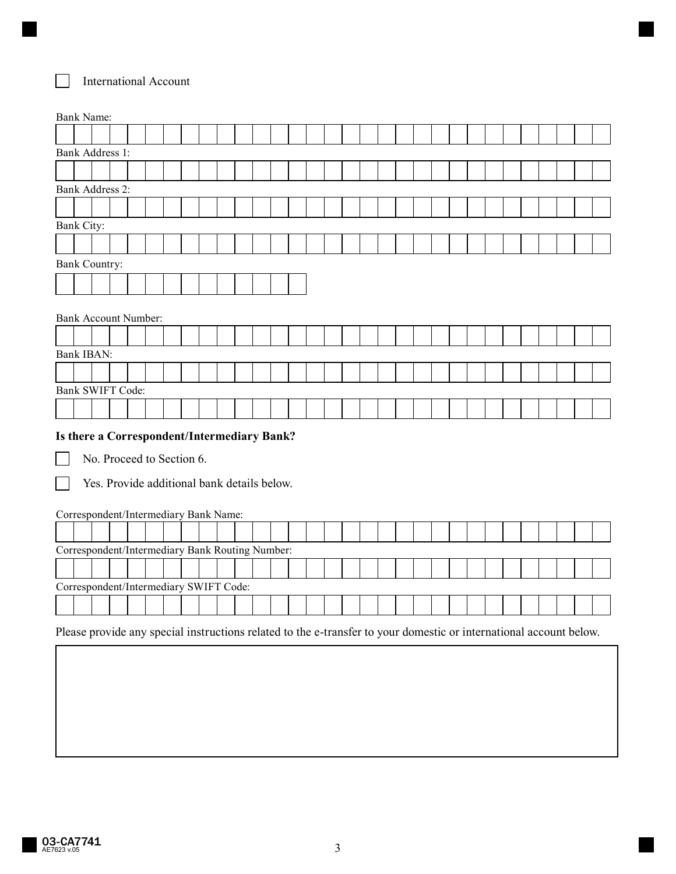## International Account

L

|            | <b>Bank Name:</b>                               |  |  |  |  |  |  |  |  |  |  |  |  |  |
|------------|-------------------------------------------------|--|--|--|--|--|--|--|--|--|--|--|--|--|
|            |                                                 |  |  |  |  |  |  |  |  |  |  |  |  |  |
|            | <b>Bank Address 1:</b>                          |  |  |  |  |  |  |  |  |  |  |  |  |  |
|            |                                                 |  |  |  |  |  |  |  |  |  |  |  |  |  |
|            | <b>Bank Address 2:</b>                          |  |  |  |  |  |  |  |  |  |  |  |  |  |
|            |                                                 |  |  |  |  |  |  |  |  |  |  |  |  |  |
| Bank City: |                                                 |  |  |  |  |  |  |  |  |  |  |  |  |  |
|            |                                                 |  |  |  |  |  |  |  |  |  |  |  |  |  |
|            | <b>Bank Country:</b>                            |  |  |  |  |  |  |  |  |  |  |  |  |  |
|            |                                                 |  |  |  |  |  |  |  |  |  |  |  |  |  |
|            |                                                 |  |  |  |  |  |  |  |  |  |  |  |  |  |
|            | <b>Bank Account Number:</b>                     |  |  |  |  |  |  |  |  |  |  |  |  |  |
|            |                                                 |  |  |  |  |  |  |  |  |  |  |  |  |  |
|            | <b>Bank IBAN:</b>                               |  |  |  |  |  |  |  |  |  |  |  |  |  |
|            |                                                 |  |  |  |  |  |  |  |  |  |  |  |  |  |
|            | Bank SWIFT Code:                                |  |  |  |  |  |  |  |  |  |  |  |  |  |
|            |                                                 |  |  |  |  |  |  |  |  |  |  |  |  |  |
|            |                                                 |  |  |  |  |  |  |  |  |  |  |  |  |  |
|            | Is there a Correspondent/Intermediary Bank?     |  |  |  |  |  |  |  |  |  |  |  |  |  |
|            | No. Proceed to Section 6.                       |  |  |  |  |  |  |  |  |  |  |  |  |  |
|            | Yes. Provide additional bank details below.     |  |  |  |  |  |  |  |  |  |  |  |  |  |
|            |                                                 |  |  |  |  |  |  |  |  |  |  |  |  |  |
|            | Correspondent/Intermediary Bank Name:           |  |  |  |  |  |  |  |  |  |  |  |  |  |
|            |                                                 |  |  |  |  |  |  |  |  |  |  |  |  |  |
|            | Correspondent/Intermediary Bank Routing Number: |  |  |  |  |  |  |  |  |  |  |  |  |  |
|            |                                                 |  |  |  |  |  |  |  |  |  |  |  |  |  |
|            | Correspondent/Intermediary SWIFT Code:          |  |  |  |  |  |  |  |  |  |  |  |  |  |
|            |                                                 |  |  |  |  |  |  |  |  |  |  |  |  |  |

 $\mathbb{R}$ 

 $\overline{\phantom{a}}$ 

# Please provide any special instructions related to the e-transfer to your domestic or international account below.

**03-CA7741** 3<br>AE7623 v.05 3